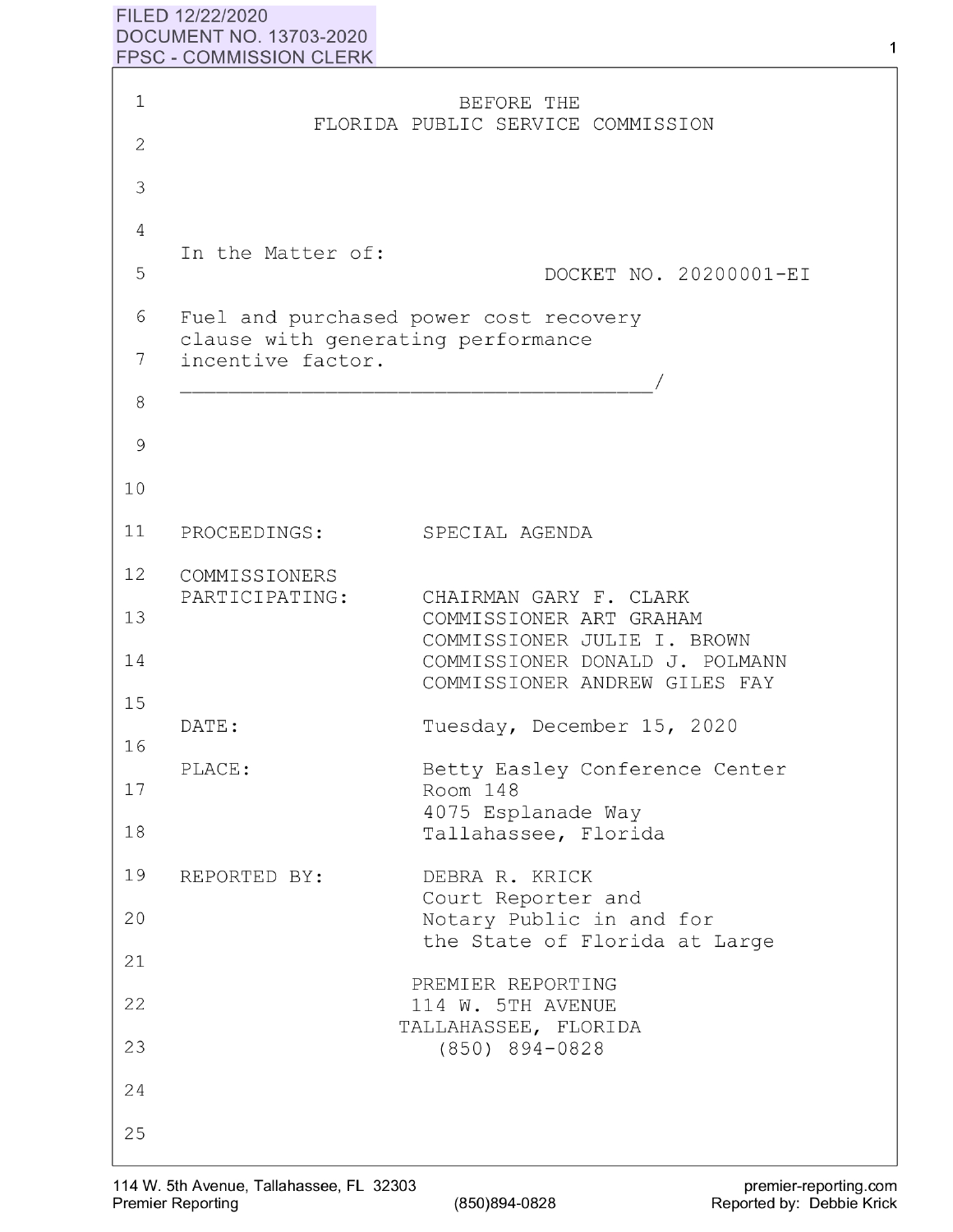## **FILED 12/22/2020 DOCUMENT NO. 13703-2020 FPSC** - **COMMISSION CLERK**

| $\mathbf 1$         |                                                         | BEFORE THE                                                                                                         |
|---------------------|---------------------------------------------------------|--------------------------------------------------------------------------------------------------------------------|
| $\mathbf{2}$        |                                                         | FLORIDA PUBLIC SERVICE COMMISSION                                                                                  |
| 3                   |                                                         |                                                                                                                    |
| $\overline{4}$<br>5 | In the Matter of:                                       | DOCKET NO. 20200001-EI                                                                                             |
| 6<br>7              | clause with generating performance<br>incentive factor. | Fuel and purchased power cost recovery                                                                             |
| 8                   |                                                         |                                                                                                                    |
| 9                   |                                                         |                                                                                                                    |
| 10                  |                                                         |                                                                                                                    |
| 11                  | PROCEEDINGS:                                            | SPECIAL AGENDA                                                                                                     |
| 12                  | COMMISSIONERS                                           |                                                                                                                    |
| 13<br>14            | PARTICIPATING:                                          | CHAIRMAN GARY F. CLARK<br>COMMISSIONER ART GRAHAM<br>COMMISSIONER JULIE I. BROWN<br>COMMISSIONER DONALD J. POLMANN |
| 15                  |                                                         | COMMISSIONER ANDREW GILES FAY                                                                                      |
| 16                  | DATE:                                                   | Tuesday, December 15, 2020                                                                                         |
| 17                  | PLACE:                                                  | Betty Easley Conference Center<br>Room 148<br>4075 Esplanade Way                                                   |
| 18                  |                                                         | Tallahassee, Florida                                                                                               |
| 19                  | REPORTED BY:                                            | DEBRA R. KRICK<br>Court Reporter and                                                                               |
| 20                  |                                                         | Notary Public in and for                                                                                           |
| 21                  |                                                         | the State of Florida at Large                                                                                      |
| 22                  |                                                         | PREMIER REPORTING<br>114 W. 5TH AVENUE                                                                             |
| 23                  |                                                         | TALLAHASSEE, FLORIDA<br>(850) 894-0828                                                                             |
| 24                  |                                                         |                                                                                                                    |
| 25                  |                                                         |                                                                                                                    |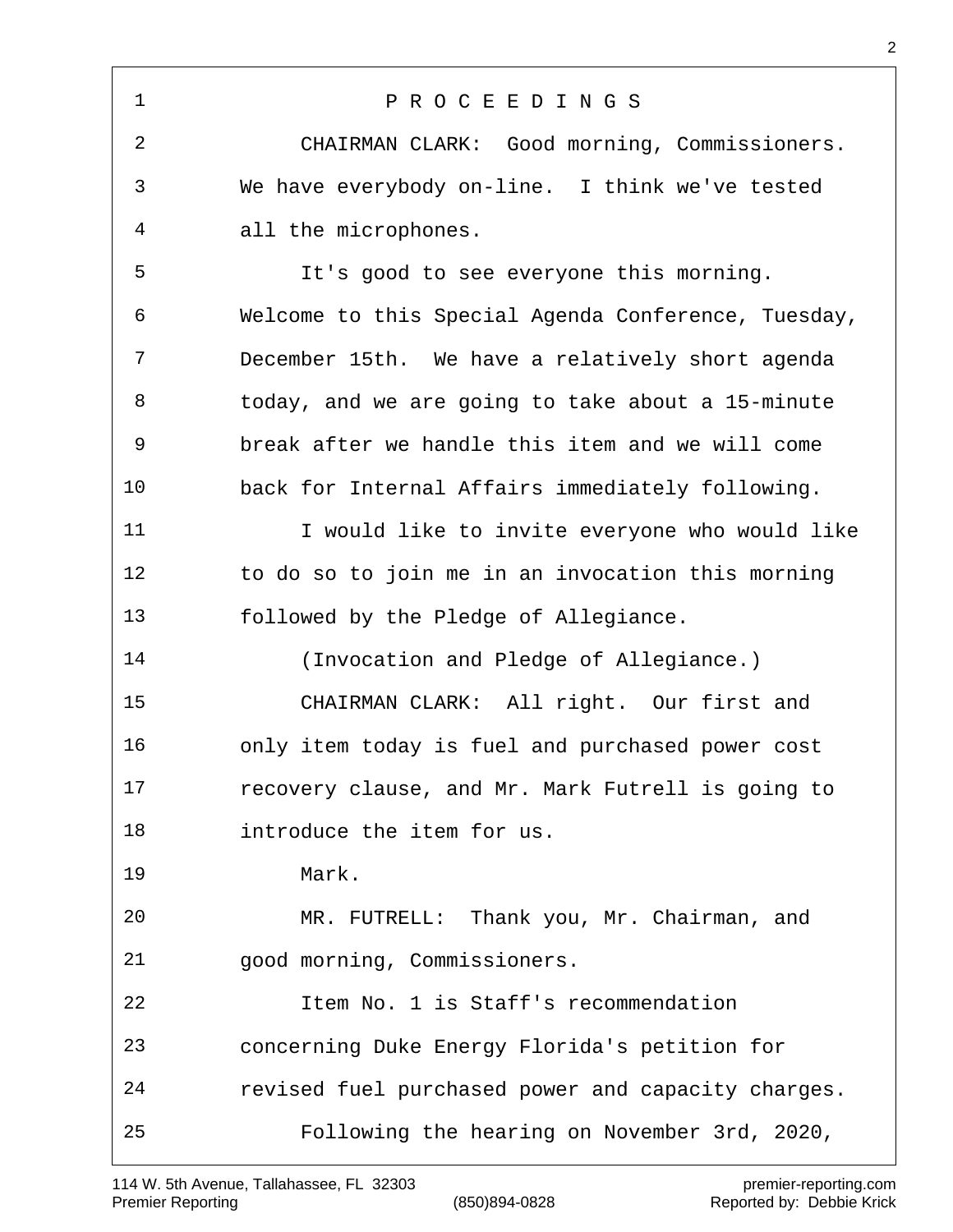P R O C E E D I N G S CHAIRMAN CLARK: Good morning, Commissioners. We have everybody on-line. I think we've tested all the microphones. It's good to see everyone this morning. Welcome to this Special Agenda Conference, Tuesday, December 15th. We have a relatively short agenda today, and we are going to take about a 15-minute break after we handle this item and we will come back for Internal Affairs immediately following. 11 12 I would like to invite everyone who would like to do so to join me in an invocation this morning followed by the Pledge of Allegiance. (Invocation and Pledge of Allegiance.) CHAIRMAN CLARK: All right. Our first and only item today is fuel and purchased power cost recovery clause, and Mr. Mark Futrell is going to introduce the item for us. Mark. MR. FUTRELL: Thank you, Mr. Chairman, and good morning, Commissioners. Item No. 1 is Staff's recommendation concerning Duke Energy Florida's petition for revised fuel purchased power and capacity charges. Following the hearing on November 3rd, 2020,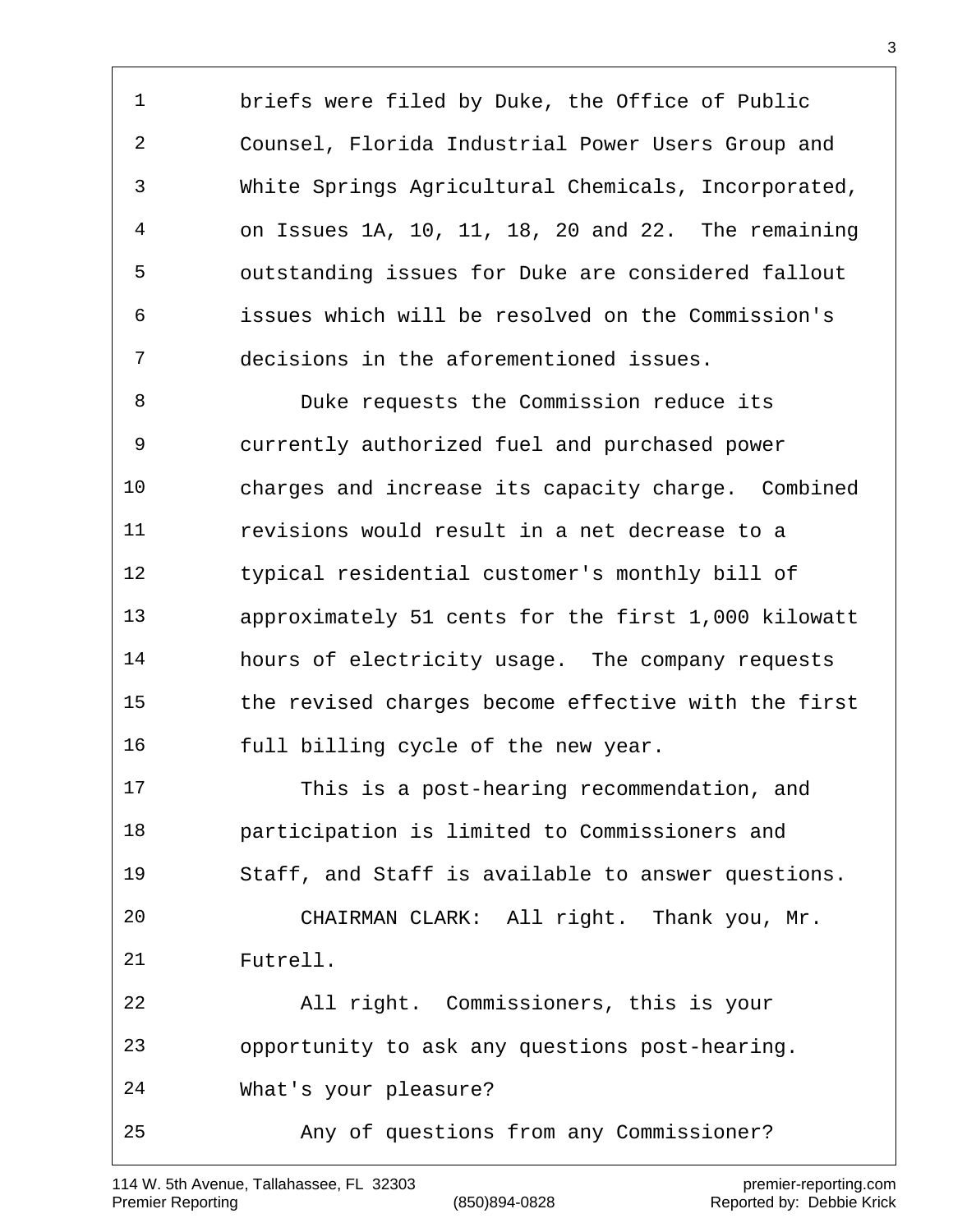briefs were filed by Duke, the Office of Public Counsel, Florida Industrial Power Users Group and White Springs Agricultural Chemicals, Incorporated, on Issues 1A, 10, 11, 18, 20 and 22. The remaining outstanding issues for Duke are considered fallout issues which will be resolved on the Commission's decisions in the aforementioned issues.

 Duke requests the Commission reduce its currently authorized fuel and purchased power charges and increase its capacity charge. Combined revisions would result in a net decrease to a typical residential customer's monthly bill of approximately 51 cents for the first 1,000 kilowatt hours of electricity usage. The company requests the revised charges become effective with the first full billing cycle of the new year.

 This is a post-hearing recommendation, and participation is limited to Commissioners and Staff, and Staff is available to answer questions. CHAIRMAN CLARK: All right. Thank you, Mr. Futrell. All right. Commissioners, this is your opportunity to ask any questions post-hearing. What's your pleasure? Any of questions from any Commissioner?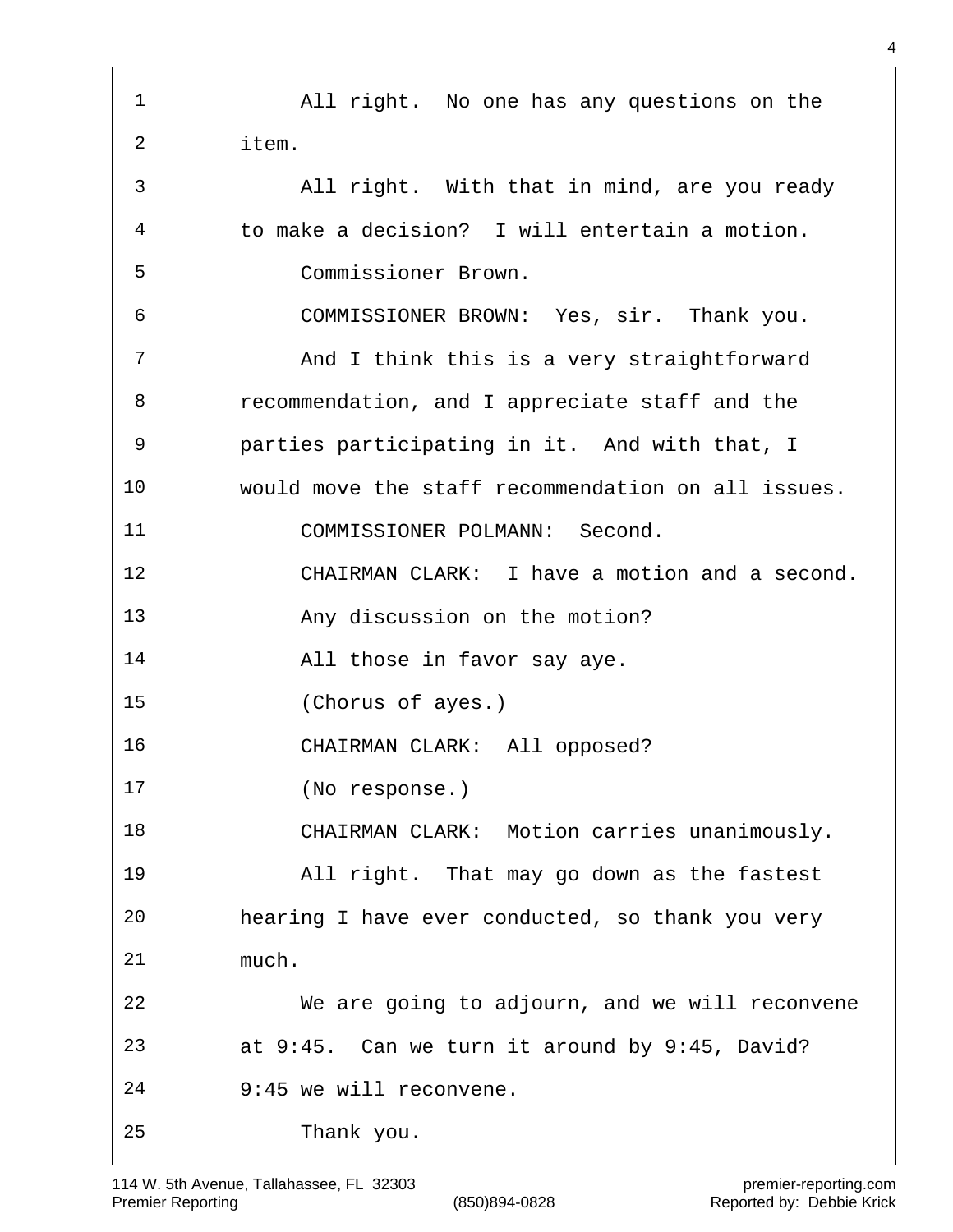All right. No one has any questions on the item. All right. With that in mind, are you ready to make a decision? I will entertain a motion. Commissioner Brown. COMMISSIONER BROWN: Yes, sir. Thank you. 7 And I think this is a very straightforward recommendation, and I appreciate staff and the parties participating in it. And with that, I would move the staff recommendation on all issues. COMMISSIONER POLMANN: Second. CHAIRMAN CLARK: I have a motion and a second. Any discussion on the motion? All those in favor say aye. (Chorus of ayes.) CHAIRMAN CLARK: All opposed? (No response.) CHAIRMAN CLARK: Motion carries unanimously. All right. That may go down as the fastest hearing I have ever conducted, so thank you very much. We are going to adjourn, and we will reconvene at 9:45. Can we turn it around by 9:45, David? 9:45 we will reconvene. Thank you.